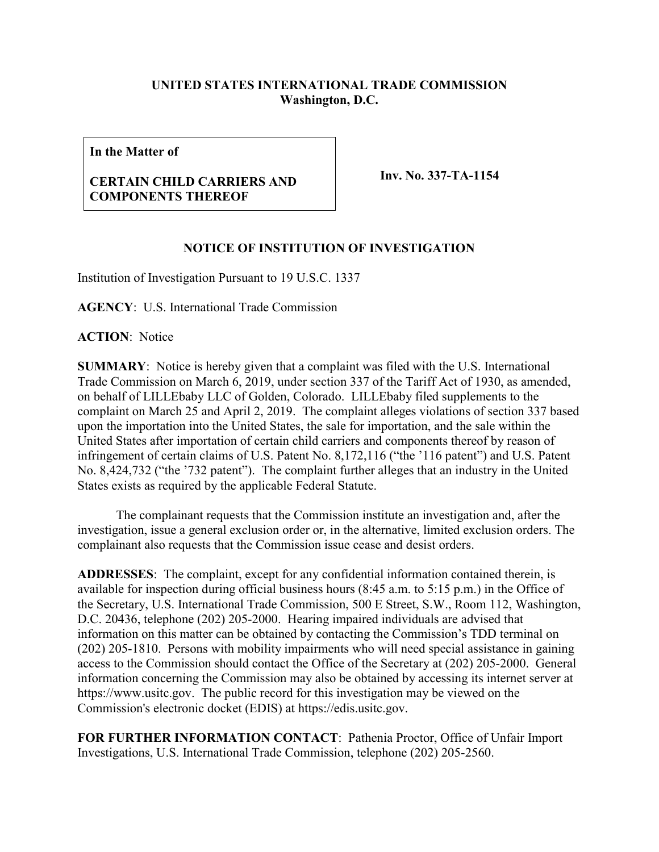## **UNITED STATES INTERNATIONAL TRADE COMMISSION Washington, D.C.**

**In the Matter of**

## **CERTAIN CHILD CARRIERS AND COMPONENTS THEREOF**

**Inv. No. 337-TA-1154**

## **NOTICE OF INSTITUTION OF INVESTIGATION**

Institution of Investigation Pursuant to 19 U.S.C. 1337

**AGENCY**: U.S. International Trade Commission

**ACTION**: Notice

**SUMMARY**: Notice is hereby given that a complaint was filed with the U.S. International Trade Commission on March 6, 2019, under section 337 of the Tariff Act of 1930, as amended, on behalf of LILLEbaby LLC of Golden, Colorado. LILLEbaby filed supplements to the complaint on March 25 and April 2, 2019. The complaint alleges violations of section 337 based upon the importation into the United States, the sale for importation, and the sale within the United States after importation of certain child carriers and components thereof by reason of infringement of certain claims of U.S. Patent No. 8,172,116 ("the '116 patent") and U.S. Patent No. 8,424,732 ("the '732 patent"). The complaint further alleges that an industry in the United States exists as required by the applicable Federal Statute.

The complainant requests that the Commission institute an investigation and, after the investigation, issue a general exclusion order or, in the alternative, limited exclusion orders. The complainant also requests that the Commission issue cease and desist orders.

**ADDRESSES**: The complaint, except for any confidential information contained therein, is available for inspection during official business hours (8:45 a.m. to 5:15 p.m.) in the Office of the Secretary, U.S. International Trade Commission, 500 E Street, S.W., Room 112, Washington, D.C. 20436, telephone (202) 205-2000. Hearing impaired individuals are advised that information on this matter can be obtained by contacting the Commission's TDD terminal on (202) 205-1810. Persons with mobility impairments who will need special assistance in gaining access to the Commission should contact the Office of the Secretary at (202) 205-2000. General information concerning the Commission may also be obtained by accessing its internet server at https://www.usitc.gov. The public record for this investigation may be viewed on the Commission's electronic docket (EDIS) at https://edis.usitc.gov.

**FOR FURTHER INFORMATION CONTACT**: Pathenia Proctor, Office of Unfair Import Investigations, U.S. International Trade Commission, telephone (202) 205-2560.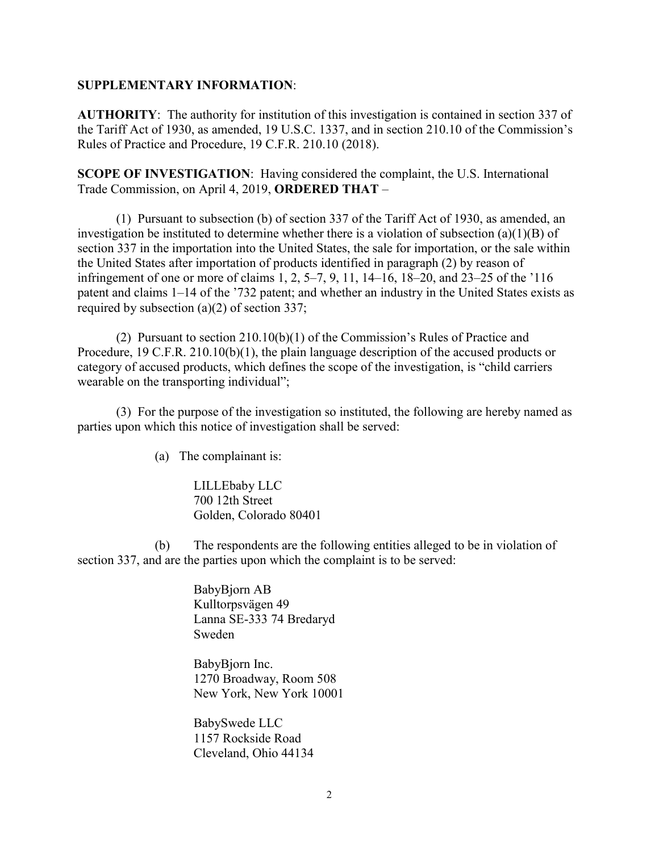## **SUPPLEMENTARY INFORMATION**:

**AUTHORITY**: The authority for institution of this investigation is contained in section 337 of the Tariff Act of 1930, as amended, 19 U.S.C. 1337, and in section 210.10 of the Commission's Rules of Practice and Procedure, 19 C.F.R. 210.10 (2018).

**SCOPE OF INVESTIGATION**: Having considered the complaint, the U.S. International Trade Commission, on April 4, 2019, **ORDERED THAT** –

(1) Pursuant to subsection (b) of section 337 of the Tariff Act of 1930, as amended, an investigation be instituted to determine whether there is a violation of subsection (a)(1)(B) of section 337 in the importation into the United States, the sale for importation, or the sale within the United States after importation of products identified in paragraph (2) by reason of infringement of one or more of claims 1, 2, 5–7, 9, 11, 14–16, 18–20, and 23–25 of the '116 patent and claims 1–14 of the '732 patent; and whether an industry in the United States exists as required by subsection (a)(2) of section 337;

(2) Pursuant to section 210.10(b)(1) of the Commission's Rules of Practice and Procedure, 19 C.F.R. 210.10(b)(1), the plain language description of the accused products or category of accused products, which defines the scope of the investigation, is "child carriers wearable on the transporting individual";

(3) For the purpose of the investigation so instituted, the following are hereby named as parties upon which this notice of investigation shall be served:

(a) The complainant is:

LILLEbaby LLC 700 12th Street Golden, Colorado 80401

(b) The respondents are the following entities alleged to be in violation of section 337, and are the parties upon which the complaint is to be served:

> BabyBjorn AB Kulltorpsvägen 49 Lanna SE-333 74 Bredaryd Sweden

BabyBjorn Inc. 1270 Broadway, Room 508 New York, New York 10001

BabySwede LLC 1157 Rockside Road Cleveland, Ohio 44134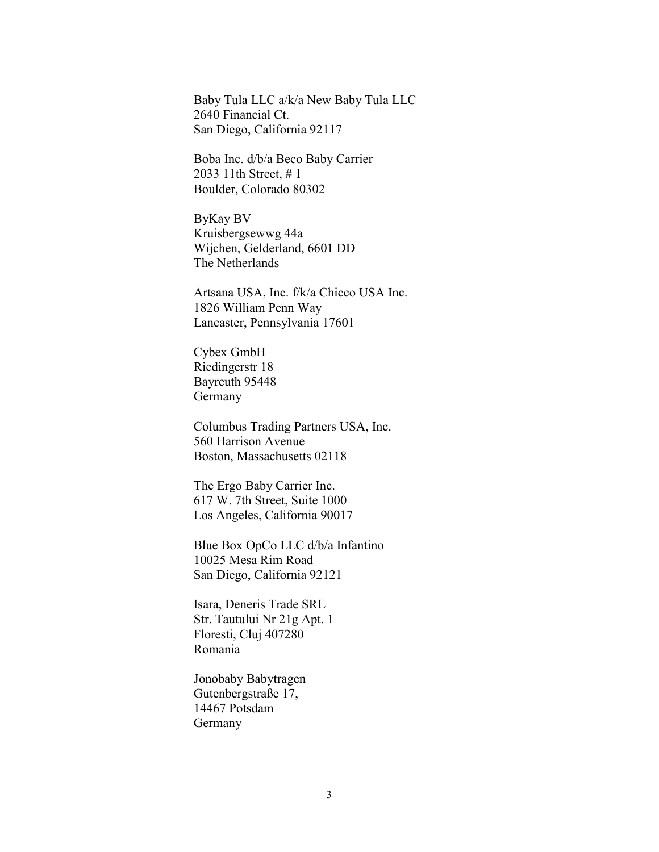Baby Tula LLC a/k/a New Baby Tula LLC 2640 Financial Ct. San Diego, California 92117

Boba Inc. d/b/a Beco Baby Carrier 2033 11th Street, # 1 Boulder, Colorado 80302

ByKay BV Kruisbergsewwg 44a Wijchen, Gelderland, 6601 DD The Netherlands

Artsana USA, Inc. f/k/a Chicco USA Inc. 1826 William Penn Way Lancaster, Pennsylvania 17601

Cybex GmbH Riedingerstr 18 Bayreuth 95448 Germany

Columbus Trading Partners USA, Inc. 560 Harrison Avenue Boston, Massachusetts 02118

The Ergo Baby Carrier Inc. 617 W. 7th Street, Suite 1000 Los Angeles, California 90017

Blue Box OpCo LLC d/b/a Infantino 10025 Mesa Rim Road San Diego, California 92121

Isara, Deneris Trade SRL Str. Tautului Nr 21g Apt. 1 Floresti, Cluj 407280 Romania

Jonobaby Babytragen Gutenbergstraße 17, 14467 Potsdam Germany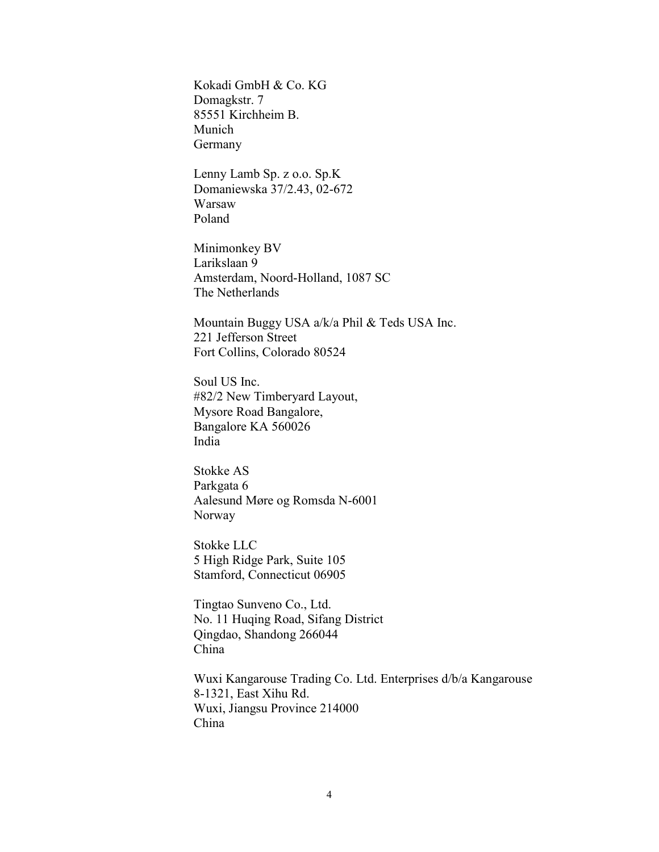Kokadi GmbH & Co. KG Domagkstr. 7 85551 Kirchheim B. Munich Germany

Lenny Lamb Sp. z o.o. Sp.K Domaniewska 37/2.43, 02-672 Warsaw Poland

Minimonkey BV Larikslaan 9 Amsterdam, Noord-Holland, 1087 SC The Netherlands

Mountain Buggy USA a/k/a Phil & Teds USA Inc. 221 Jefferson Street Fort Collins, Colorado 80524

Soul US Inc. #82/2 New Timberyard Layout, Mysore Road Bangalore, Bangalore KA 560026 India

Stokke AS Parkgata 6 Aalesund Møre og Romsda N-6001 Norway

Stokke LLC 5 High Ridge Park, Suite 105 Stamford, Connecticut 06905

Tingtao Sunveno Co., Ltd. No. 11 Huqing Road, Sifang District Qingdao, Shandong 266044 China

Wuxi Kangarouse Trading Co. Ltd. Enterprises d/b/a Kangarouse 8-1321, East Xihu Rd. Wuxi, Jiangsu Province 214000 China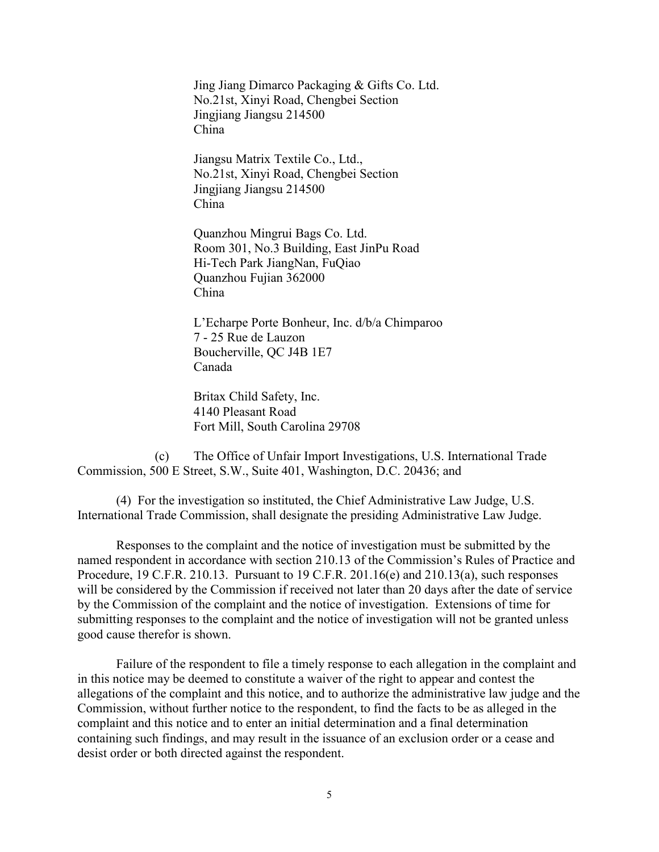Jing Jiang Dimarco Packaging & Gifts Co. Ltd. No.21st, Xinyi Road, Chengbei Section Jingjiang Jiangsu 214500 China

Jiangsu Matrix Textile Co., Ltd., No.21st, Xinyi Road, Chengbei Section Jingjiang Jiangsu 214500 China

Quanzhou Mingrui Bags Co. Ltd. Room 301, No.3 Building, East JinPu Road Hi-Tech Park JiangNan, FuQiao Quanzhou Fujian 362000 China

L'Echarpe Porte Bonheur, Inc. d/b/a Chimparoo 7 - 25 Rue de Lauzon Boucherville, QC J4B 1E7 Canada

Britax Child Safety, Inc. 4140 Pleasant Road Fort Mill, South Carolina 29708

(c) The Office of Unfair Import Investigations, U.S. International Trade Commission, 500 E Street, S.W., Suite 401, Washington, D.C. 20436; and

(4) For the investigation so instituted, the Chief Administrative Law Judge, U.S. International Trade Commission, shall designate the presiding Administrative Law Judge.

Responses to the complaint and the notice of investigation must be submitted by the named respondent in accordance with section 210.13 of the Commission's Rules of Practice and Procedure, 19 C.F.R. 210.13. Pursuant to 19 C.F.R. 201.16(e) and 210.13(a), such responses will be considered by the Commission if received not later than 20 days after the date of service by the Commission of the complaint and the notice of investigation. Extensions of time for submitting responses to the complaint and the notice of investigation will not be granted unless good cause therefor is shown.

Failure of the respondent to file a timely response to each allegation in the complaint and in this notice may be deemed to constitute a waiver of the right to appear and contest the allegations of the complaint and this notice, and to authorize the administrative law judge and the Commission, without further notice to the respondent, to find the facts to be as alleged in the complaint and this notice and to enter an initial determination and a final determination containing such findings, and may result in the issuance of an exclusion order or a cease and desist order or both directed against the respondent.